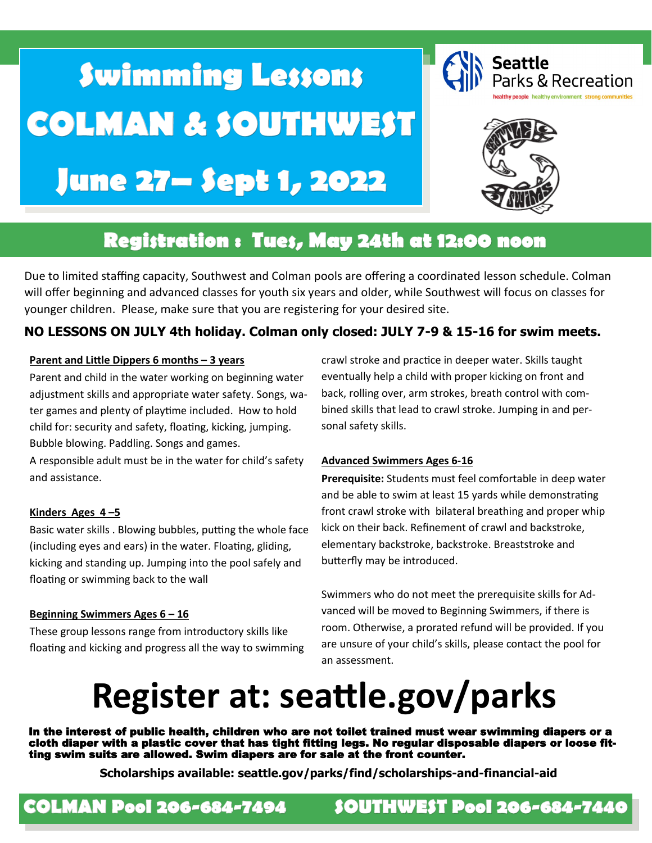# **Swimming Lessons COLMAN & SOUTHWEST** June 27– Sept 1, 2022





### Registration : Tues, May 24th at 12:00 noon

Due to limited staffing capacity, Southwest and Colman pools are offering a coordinated lesson schedule. Colman will offer beginning and advanced classes for youth six years and older, while Southwest will focus on classes for younger children. Please, make sure that you are registering for your desired site.

#### **NO LESSONS ON JULY 4th holiday. Colman only closed: JULY 7-9 & 15-16 for swim meets.**

#### **Parent and Little Dippers 6 months – 3 years**

Parent and child in the water working on beginning water adjustment skills and appropriate water safety. Songs, water games and plenty of playtime included. How to hold child for: security and safety, floating, kicking, jumping. Bubble blowing. Paddling. Songs and games.

A responsible adult must be in the water for child's safety and assistance.

#### **Kinders Ages 4 –5**

Basic water skills . Blowing bubbles, putting the whole face (including eyes and ears) in the water. Floating, gliding, kicking and standing up. Jumping into the pool safely and floating or swimming back to the wall

#### **Beginning Swimmers Ages 6 – 16**

These group lessons range from introductory skills like floating and kicking and progress all the way to swimming crawl stroke and practice in deeper water. Skills taught eventually help a child with proper kicking on front and back, rolling over, arm strokes, breath control with combined skills that lead to crawl stroke. Jumping in and personal safety skills.

#### **Advanced Swimmers Ages 6-16**

**Prerequisite:** Students must feel comfortable in deep water and be able to swim at least 15 yards while demonstrating front crawl stroke with bilateral breathing and proper whip kick on their back. Refinement of crawl and backstroke, elementary backstroke, backstroke. Breaststroke and butterfly may be introduced.

Swimmers who do not meet the prerequisite skills for Advanced will be moved to Beginning Swimmers, if there is room. Otherwise, a prorated refund will be provided. If you are unsure of your child's skills, please contact the pool for an assessment.

## **Register at: seattle.gov/parks**

In the interest of public health, children who are not toilet trained must wear swimming diapers or a cloth diaper with a plastic cover that has tight fitting legs. No regular disposable diapers or loose fitting swim suits are allowed. Swim diapers are for sale at the front counter.

**Scholarships available: seattle.gov/parks/find/scholarships-and-financial-aid** 

### **COLMAN Pool 206-684-7494**

### **SOUTHWEST Pool 206-684-7440**